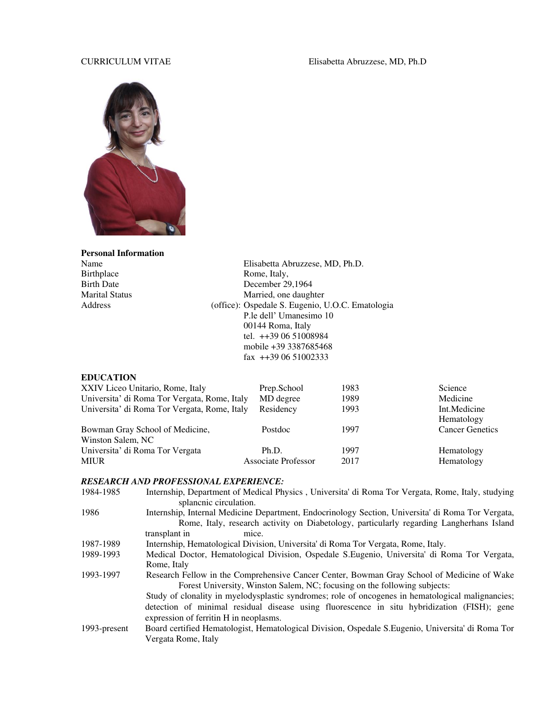### CURRICULUM VITAE Elisabetta Abruzzese, MD, Ph.D



# **Personal Information**  Birthplace Rome, Italy, Rome, Italy, Rome, Italy, December 29

Name Elisabetta Abruzzese, MD, Ph.D.<br>Birthplace Rome, Italy, Birth Date<br>
Marital Status
29,1964<br>
Marital Status
2018 Married, one daughter Address (office): Ospedale S. Eugenio, U.O.C. Ematologia P.le dell' Umanesimo 10 00144 Roma, Italy tel. ++39 06 51008984 mobile +39 3387685468 fax ++39 06 51002333

### **EDUCATION**

| XXIV Liceo Unitario, Rome, Italy                     | Prep.School         | 1983 | Science                    |
|------------------------------------------------------|---------------------|------|----------------------------|
| Universita' di Roma Tor Vergata, Rome, Italy         | MD degree           | 1989 | Medicine                   |
| Universita' di Roma Tor Vergata, Rome, Italy         | Residency           | 1993 | Int.Medicine<br>Hematology |
| Bowman Gray School of Medicine,<br>Winston Salem, NC | Postdoc             | 1997 | <b>Cancer Genetics</b>     |
| Universita' di Roma Tor Vergata                      | Ph.D.               | 1997 | Hematology                 |
| MIUR                                                 | Associate Professor | 2017 | Hematology                 |

#### *RESEARCH AND PROFESSIONAL EXPERIENCE:*

| 1984-1985    | Internship, Department of Medical Physics, Universita' di Roma Tor Vergata, Rome, Italy, studying  |
|--------------|----------------------------------------------------------------------------------------------------|
|              | splanenic circulation.                                                                             |
| 1986         | Internship, Internal Medicine Department, Endocrinology Section, Universita' di Roma Tor Vergata,  |
|              | Rome, Italy, research activity on Diabetology, particularly regarding Langherhans Island           |
|              | transplant in<br>mice.                                                                             |
| 1987-1989    | Internship, Hematological Division, Universita' di Roma Tor Vergata, Rome, Italy.                  |
| 1989-1993    | Medical Doctor, Hematological Division, Ospedale S.Eugenio, Universita' di Roma Tor Vergata,       |
|              | Rome, Italy                                                                                        |
| 1993-1997    | Research Fellow in the Comprehensive Cancer Center, Bowman Gray School of Medicine of Wake         |
|              | Forest University, Winston Salem, NC; focusing on the following subjects:                          |
|              | Study of clonality in myelodysplastic syndromes; role of oncogenes in hematological malignancies;  |
|              | detection of minimal residual disease using fluorescence in situ hybridization (FISH); gene        |
|              | expression of ferritin H in neoplasms.                                                             |
| 1993-present | Board certified Hematologist, Hematological Division, Ospedale S. Eugenio, Universita' di Roma Tor |
|              | Vergata Rome, Italy                                                                                |